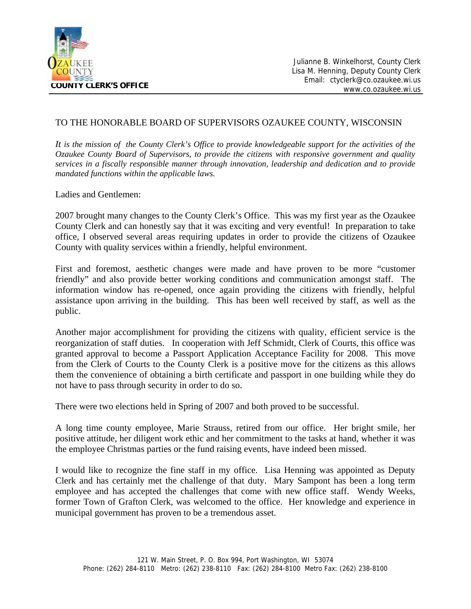

## TO THE HONORABLE BOARD OF SUPERVISORS OZAUKEE COUNTY, WISCONSIN

*It is the mission of the County Clerk's Office to provide knowledgeable support for the activities of the Ozaukee County Board of Supervisors, to provide the citizens with responsive government and quality services in a fiscally responsible manner through innovation, leadership and dedication and to provide mandated functions within the applicable laws.* 

Ladies and Gentlemen:

2007 brought many changes to the County Clerk's Office. This was my first year as the Ozaukee County Clerk and can honestly say that it was exciting and very eventful! In preparation to take office, I observed several areas requiring updates in order to provide the citizens of Ozaukee County with quality services within a friendly, helpful environment.

First and foremost, aesthetic changes were made and have proven to be more "customer friendly" and also provide better working conditions and communication amongst staff. The information window has re-opened, once again providing the citizens with friendly, helpful assistance upon arriving in the building. This has been well received by staff, as well as the public.

Another major accomplishment for providing the citizens with quality, efficient service is the reorganization of staff duties. In cooperation with Jeff Schmidt, Clerk of Courts, this office was granted approval to become a Passport Application Acceptance Facility for 2008. This move from the Clerk of Courts to the County Clerk is a positive move for the citizens as this allows them the convenience of obtaining a birth certificate and passport in one building while they do not have to pass through security in order to do so.

There were two elections held in Spring of 2007 and both proved to be successful.

A long time county employee, Marie Strauss, retired from our office. Her bright smile, her positive attitude, her diligent work ethic and her commitment to the tasks at hand, whether it was the employee Christmas parties or the fund raising events, have indeed been missed.

I would like to recognize the fine staff in my office. Lisa Henning was appointed as Deputy Clerk and has certainly met the challenge of that duty. Mary Sampont has been a long term employee and has accepted the challenges that come with new office staff. Wendy Weeks, former Town of Grafton Clerk, was welcomed to the office. Her knowledge and experience in municipal government has proven to be a tremendous asset.